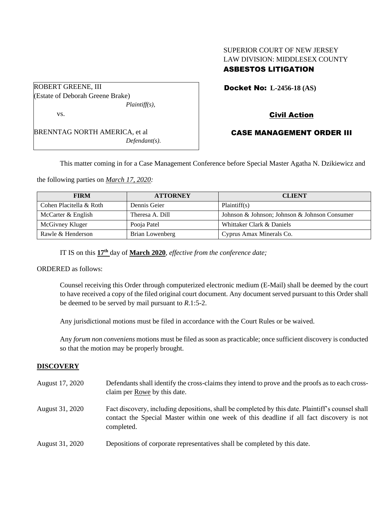## SUPERIOR COURT OF NEW JERSEY LAW DIVISION: MIDDLESEX COUNTY ASBESTOS LITIGATION

| <b>ROBERT GREENE, III</b>            |
|--------------------------------------|
|                                      |
| (Estate of Deborah Greene Brake)     |
| $Plaintiff(s)$ ,                     |
| VS.                                  |
|                                      |
| <b>BRENNTAG NORTH AMERICA, et al</b> |
| $Defendant(s)$ .                     |
|                                      |

Docket No: **L-2456-18 (AS)** 

# Civil Action

### CASE MANAGEMENT ORDER III

This matter coming in for a Case Management Conference before Special Master Agatha N. Dzikiewicz and

the following parties on *March 17, 2020:*

| <b>FIRM</b>             | <b>ATTORNEY</b> | <b>CLIENT</b>                                 |
|-------------------------|-----------------|-----------------------------------------------|
| Cohen Placitella & Roth | Dennis Geier    | Plaintiff(s)                                  |
| McCarter & English      | Theresa A. Dill | Johnson & Johnson; Johnson & Johnson Consumer |
| McGivney Kluger         | Pooja Patel     | Whittaker Clark & Daniels                     |
| Rawle & Henderson       | Brian Lowenberg | Cyprus Amax Minerals Co.                      |

IT IS on this **17th** day of **March 2020**, *effective from the conference date;*

ORDERED as follows:

Counsel receiving this Order through computerized electronic medium (E-Mail) shall be deemed by the court to have received a copy of the filed original court document. Any document served pursuant to this Order shall be deemed to be served by mail pursuant to *R*.1:5-2.

Any jurisdictional motions must be filed in accordance with the Court Rules or be waived.

Any *forum non conveniens* motions must be filed as soon as practicable; once sufficient discovery is conducted so that the motion may be properly brought.

### **DISCOVERY**

| August 17, 2020 | Defendants shall identify the cross-claims they intend to prove and the proofs as to each cross-<br>claim per Rowe by this date.                                                                            |
|-----------------|-------------------------------------------------------------------------------------------------------------------------------------------------------------------------------------------------------------|
| August 31, 2020 | Fact discovery, including depositions, shall be completed by this date. Plaintiff's counsel shall<br>contact the Special Master within one week of this deadline if all fact discovery is not<br>completed. |
| August 31, 2020 | Depositions of corporate representatives shall be completed by this date.                                                                                                                                   |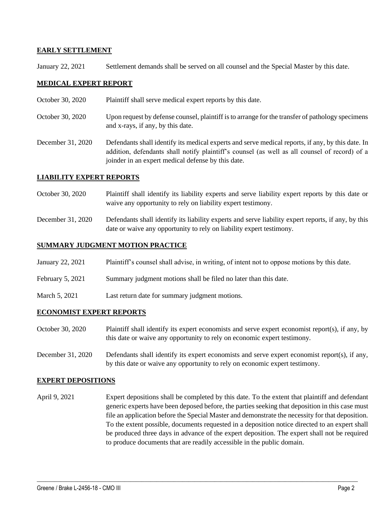### **EARLY SETTLEMENT**

January 22, 2021 Settlement demands shall be served on all counsel and the Special Master by this date.

### **MEDICAL EXPERT REPORT**

- October 30, 2020 Plaintiff shall serve medical expert reports by this date.
- October 30, 2020 Upon request by defense counsel, plaintiff is to arrange for the transfer of pathology specimens and x-rays, if any, by this date.
- December 31, 2020 Defendants shall identify its medical experts and serve medical reports, if any, by this date. In addition, defendants shall notify plaintiff's counsel (as well as all counsel of record) of a joinder in an expert medical defense by this date.

#### **LIABILITY EXPERT REPORTS**

- October 30, 2020 Plaintiff shall identify its liability experts and serve liability expert reports by this date or waive any opportunity to rely on liability expert testimony.
- December 31, 2020 Defendants shall identify its liability experts and serve liability expert reports, if any, by this date or waive any opportunity to rely on liability expert testimony.

#### **SUMMARY JUDGMENT MOTION PRACTICE**

- January 22, 2021 Plaintiff's counsel shall advise, in writing, of intent not to oppose motions by this date.
- February 5, 2021 Summary judgment motions shall be filed no later than this date.
- March 5, 2021 Last return date for summary judgment motions.

#### **ECONOMIST EXPERT REPORTS**

- October 30, 2020 Plaintiff shall identify its expert economists and serve expert economist report(s), if any, by this date or waive any opportunity to rely on economic expert testimony.
- December 31, 2020 Defendants shall identify its expert economists and serve expert economist report(s), if any, by this date or waive any opportunity to rely on economic expert testimony.

#### **EXPERT DEPOSITIONS**

April 9, 2021 Expert depositions shall be completed by this date. To the extent that plaintiff and defendant generic experts have been deposed before, the parties seeking that deposition in this case must file an application before the Special Master and demonstrate the necessity for that deposition. To the extent possible, documents requested in a deposition notice directed to an expert shall be produced three days in advance of the expert deposition. The expert shall not be required to produce documents that are readily accessible in the public domain.

 $\_$  , and the set of the set of the set of the set of the set of the set of the set of the set of the set of the set of the set of the set of the set of the set of the set of the set of the set of the set of the set of th